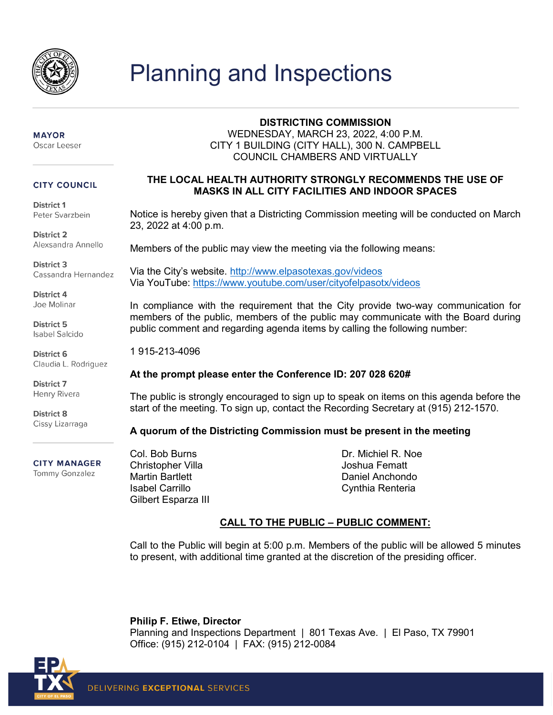

# Planning and Inspections

#### **MAYOR** Oscar Leeser

#### **CITY COUNCIL**

District 1 Peter Svarzbein

District 2 Alexsandra Annello

**District 3** Cassandra Hernandez

District 4 Joe Molinar

District 5 **Isabel Salcido** 

District 6 Claudia L. Rodriguez

**District 7** Henry Rivera

**District 8** Cissy Lizarraga

## **CITY MANAGER**

Tommy Gonzalez

### **DISTRICTING COMMISSION**

WEDNESDAY, MARCH 23, 2022, 4:00 P.M. CITY 1 BUILDING (CITY HALL), 300 N. CAMPBELL COUNCIL CHAMBERS AND VIRTUALLY

### **THE LOCAL HEALTH AUTHORITY STRONGLY RECOMMENDS THE USE OF MASKS IN ALL CITY FACILITIES AND INDOOR SPACES**

Notice is hereby given that a Districting Commission meeting will be conducted on March 23, 2022 at 4:00 p.m.

Members of the public may view the meeting via the following means:

Via the City's website.<http://www.elpasotexas.gov/videos> Via YouTube:<https://www.youtube.com/user/cityofelpasotx/videos>

In compliance with the requirement that the City provide two-way communication for members of the public, members of the public may communicate with the Board during public comment and regarding agenda items by calling the following number:

1 915-213-4096

### **At the prompt please enter the Conference ID: 207 028 620#**

The public is strongly encouraged to sign up to speak on items on this agenda before the start of the meeting. To sign up, contact the Recording Secretary at (915) 212-1570.

### **A quorum of the Districting Commission must be present in the meeting**

Col. Bob Burns Christopher Villa Martin Bartlett Isabel Carrillo Gilbert Esparza III Dr. Michiel R. Noe Joshua Fematt Daniel Anchondo Cynthia Renteria

### **CALL TO THE PUBLIC – PUBLIC COMMENT:**

Call to the Public will begin at 5:00 p.m. Members of the public will be allowed 5 minutes to present, with additional time granted at the discretion of the presiding officer.

**Philip F. Etiwe, Director** Planning and Inspections Department | 801 Texas Ave. | El Paso, TX 79901 Office: (915) 212-0104 | FAX: (915) 212-0084